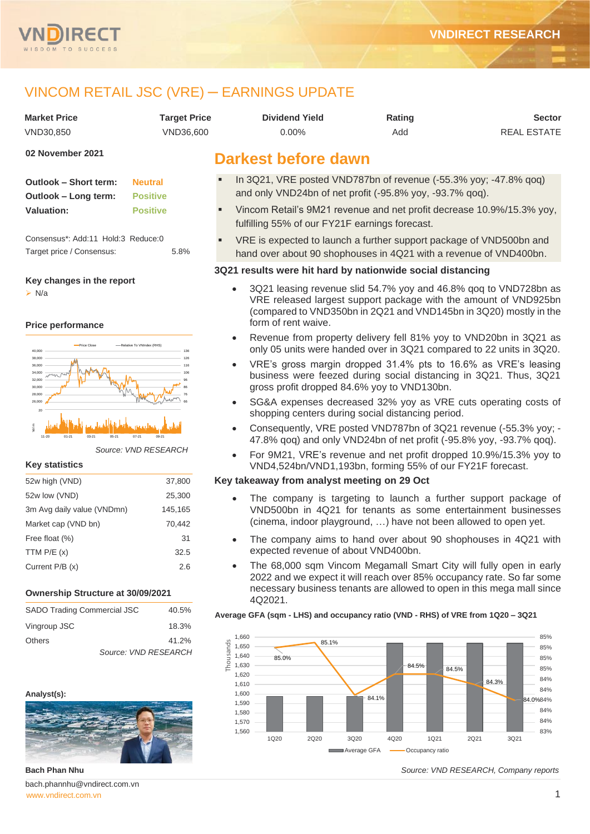

## VINCOM RETAIL JSC (VRE) ─ EARNINGS UPDATE

| <b>Market Price</b>                                             | <b>Target Price</b>               | <b>Dividend Yield</b>                                                                                                        | Rating                                                                                                                                                                                                    | Sector                                                                                    |
|-----------------------------------------------------------------|-----------------------------------|------------------------------------------------------------------------------------------------------------------------------|-----------------------------------------------------------------------------------------------------------------------------------------------------------------------------------------------------------|-------------------------------------------------------------------------------------------|
| VND30,850                                                       | VND36,600                         | 0.00%                                                                                                                        | Add                                                                                                                                                                                                       | <b>REAL ESTATE</b>                                                                        |
| 02 November 2021                                                |                                   | <b>Darkest before dawn</b>                                                                                                   |                                                                                                                                                                                                           |                                                                                           |
| <b>Outlook - Short term:</b><br>Outlook - Long term:            | <b>Neutral</b><br><b>Positive</b> |                                                                                                                              | In 3Q21, VRE posted VND787bn of revenue (-55.3% yoy; -47.8% qoq)<br>and only VND24bn of net profit (-95.8% yoy, -93.7% qoq).                                                                              |                                                                                           |
| Valuation:                                                      | <b>Positive</b>                   | Vincom Retail's 9M21 revenue and net profit decrease 10.9%/15.3% yoy,<br>fulfilling 55% of our FY21F earnings forecast.      |                                                                                                                                                                                                           |                                                                                           |
| Consensus*: Add:11 Hold:3 Reduce:0<br>Target price / Consensus: | 5.8%                              | VRE is expected to launch a further support package of VND500bn and                                                          | hand over about 90 shophouses in 4Q21 with a revenue of VND400bn.                                                                                                                                         |                                                                                           |
|                                                                 |                                   | 3Q21 results were hit hard by nationwide social distancing                                                                   |                                                                                                                                                                                                           |                                                                                           |
| Key changes in the report                                       |                                   |                                                                                                                              |                                                                                                                                                                                                           |                                                                                           |
| $\triangleright$ N/a<br>Price performance                       |                                   | $\bullet$<br>form of rent waive.                                                                                             | 3Q21 leasing revenue slid 54.7% yoy and 46.8% gog to VND728bn as<br>VRE released largest support package with the amount of VND925bn<br>(compared to VND350bn in 2Q21 and VND145bn in 3Q20) mostly in the |                                                                                           |
| -Price Close<br>40,000                                          | -Relative To VNIndex (RHS)        | $\bullet$                                                                                                                    | Revenue from property delivery fell 81% yoy to VND20bn in 3Q21 as<br>only 05 units were handed over in 3Q21 compared to 22 units in 3Q20.                                                                 |                                                                                           |
| 38,000<br>36,000<br>34,000<br>32,000<br>30,000                  |                                   | $\bullet$                                                                                                                    | VRE's gross margin dropped 31.4% pts to 16.6% as VRE's leasing<br>business were feezed during social distancing in 3Q21. Thus, 3Q21<br>gross profit dropped 84.6% yoy to VND130bn.                        |                                                                                           |
| 28,000<br>26,000<br>20                                          |                                   | $\bullet$                                                                                                                    | SG&A expenses decreased 32% yoy as VRE cuts operating costs of<br>shopping centers during social distancing period.                                                                                       |                                                                                           |
| $11 - 20$<br>$01 - 21$                                          | 07-21<br>09-21                    | $\bullet$                                                                                                                    | Consequently, VRE posted VND787bn of 3Q21 revenue (-55.3% yoy; -<br>47.8% qoq) and only VND24bn of net profit (-95.8% yoy, -93.7% qoq).                                                                   |                                                                                           |
| <b>Key statistics</b>                                           | Source: VND RESEARCH              | $\bullet$                                                                                                                    | For 9M21, VRE's revenue and net profit dropped 10.9%/15.3% yoy to<br>VND4,524bn/VND1,193bn, forming 55% of our FY21F forecast.                                                                            |                                                                                           |
| 52w high (VND)                                                  | 37,800                            | Key takeaway from analyst meeting on 29 Oct                                                                                  |                                                                                                                                                                                                           |                                                                                           |
| 52w low (VND)                                                   | 25,300                            | $\bullet$                                                                                                                    | The company is targeting to launch a further support package of                                                                                                                                           |                                                                                           |
| 3m Avg daily value (VNDmn)                                      | 145,165                           |                                                                                                                              | VND500bn in 4Q21 for tenants as some entertainment businesses                                                                                                                                             |                                                                                           |
| Market cap (VND bn)                                             | 70,442                            |                                                                                                                              | (cinema, indoor playground, ) have not been allowed to open yet.                                                                                                                                          |                                                                                           |
| Free float (%)                                                  | 31                                | expected revenue of about VND400bn.                                                                                          | The company aims to hand over about 90 shophouses in 4Q21 with                                                                                                                                            |                                                                                           |
| TTM $P/E(x)$                                                    | 32.5<br>2.6                       | $\bullet$                                                                                                                    | The 68,000 sqm Vincom Megamall Smart City will fully open in early                                                                                                                                        |                                                                                           |
| Current P/B (x)<br><b>Ownership Structure at 30/09/2021</b>     |                                   |                                                                                                                              | 2022 and we expect it will reach over 85% occupancy rate. So far some<br>necessary business tenants are allowed to open in this mega mall since                                                           |                                                                                           |
| SADO Trading Commercial JSC                                     | 40.5%                             | 4Q2021.                                                                                                                      |                                                                                                                                                                                                           |                                                                                           |
| Vingroup JSC                                                    | 18.3%                             | Average GFA (sqm - LHS) and occupancy ratio (VND - RHS) of VRE from 1Q20 - 3Q21                                              |                                                                                                                                                                                                           |                                                                                           |
| <b>Others</b>                                                   | 41.2%                             | 1,660<br>85.1%                                                                                                               |                                                                                                                                                                                                           | 85%                                                                                       |
| Analyst(s):                                                     | Source: VND RESEARCH              | Thousands<br>1,650<br>1,640<br>85.0%<br>1,630<br>1,620<br>1,610<br>1,600<br>1,590<br>1,580<br>1,570<br>1,560<br>1Q20<br>2Q20 | 84.5%<br>84.5%<br>84.1%<br>3Q20<br>4Q20<br><b>1Q21</b>                                                                                                                                                    | 85%<br>85%<br>85%<br>84%<br>84.3%<br>84%<br>84.0%84%<br>84%<br>84%<br>83%<br>2Q21<br>3Q21 |
|                                                                 |                                   |                                                                                                                              | Average GFA<br>Occupancy ratio                                                                                                                                                                            |                                                                                           |

**Bach Phan Nhu**

[www.vndirect.com.vn](file:///C:/Users/Andre/Downloads/www.vndirect.com.vn) 2001 bach.phannhu@vndirect.com.vn

*Source: VND RESEARCH, Company reports*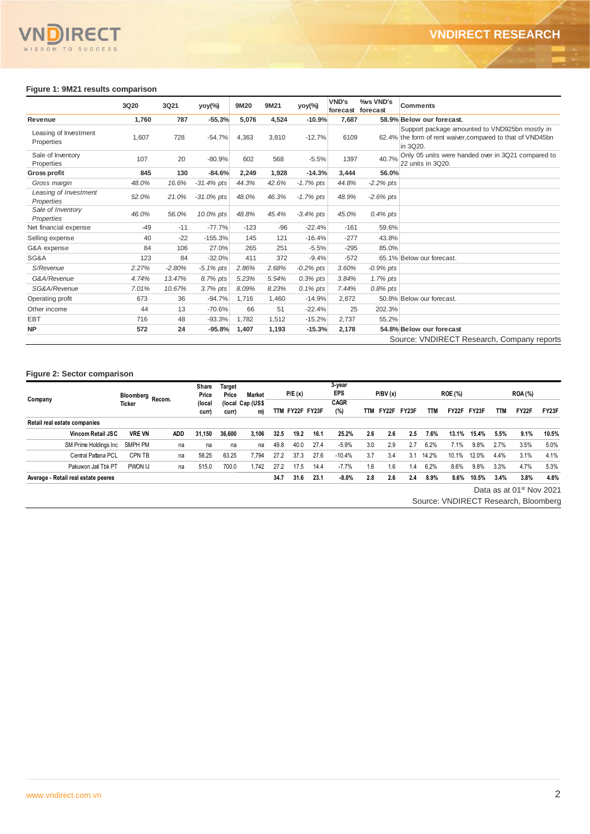#### **Figure 1: 9M21 results comparison**

|                                     | 3Q20  | 3Q21     | yoy(%)        | 9M20   | 9M21  | yoy(%)       | <b>VND's</b><br>forecast | %vs VND's<br>forecast | <b>Comments</b>                                                                                                          |
|-------------------------------------|-------|----------|---------------|--------|-------|--------------|--------------------------|-----------------------|--------------------------------------------------------------------------------------------------------------------------|
| Revenue                             | 1,760 | 787      | $-55.3%$      | 5,076  | 4,524 | $-10.9%$     | 7,687                    |                       | 58.9% Below our forecast.                                                                                                |
| Leasing of Investment<br>Properties | 1.607 | 728      | $-54.7%$      | 4,363  | 3.810 | $-12.7%$     | 6109                     |                       | Support package amounted to VND925bn mostly in<br>62.4% the form of rent waiver, compared to that of VND45bn<br>in 3Q20. |
| Sale of Inventory<br>Properties     | 107   | 20       | $-80.9%$      | 602    | 568   | $-5.5%$      | 1397                     | 40.7%                 | Only 05 units were handed over in 3Q21 compared to<br>22 units in 3Q20.                                                  |
| <b>Gross profit</b>                 | 845   | 130      | $-84.6%$      | 2,249  | 1,928 | $-14.3%$     | 3,444                    | 56.0%                 |                                                                                                                          |
| Gross margin                        | 48.0% | 16.6%    | $-31.4%$ pts  | 44.3%  | 42.6% | $-1.7\%$ pts | 44.8%                    | $-2.2%$ pts           |                                                                                                                          |
| Leasing of Investment<br>Properties | 52.0% | 21.0%    | $-31.0\%$ pts | 48.0%  | 46.3% | $-1.7%$ pts  | 48.9%                    | $-2.6%$ pts           |                                                                                                                          |
| Sale of Inventory<br>Properties     | 46.0% | 56.0%    | 10.0% pts     | 48.8%  | 45.4% | $-3.4%$ pts  | 45.0%                    | $0.4\%$ pts           |                                                                                                                          |
| Net financial expense               | $-49$ | $-11$    | $-77.7%$      | $-123$ | $-96$ | $-22.4%$     | $-161$                   | 59.6%                 |                                                                                                                          |
| Selling expense                     | 40    | $-22$    | $-155.3%$     | 145    | 121   | $-16.4%$     | $-277$                   | 43.8%                 |                                                                                                                          |
| G&A expense                         | 84    | 106      | 27.0%         | 265    | 251   | $-5.5%$      | $-295$                   | 85.0%                 |                                                                                                                          |
| SG&A                                | 123   | 84       | $-32.0%$      | 411    | 372   | $-9.4%$      | $-572$                   |                       | 65.1% Below our forecast.                                                                                                |
| S/Revenue                           | 2.27% | $-2.80%$ | $-5.1\%$ pts  | 2.86%  | 2.68% | $-0.2\%$ pts | 3.60%                    | $-0.9\%$ pts          |                                                                                                                          |
| G&A/Revenue                         | 4.74% | 13.47%   | 8.7% pts      | 5.23%  | 5.54% | $0.3%$ pts   | 3.84%                    | 1.7% pts              |                                                                                                                          |
| SG&A/Revenue                        | 7.01% | 10.67%   | 3.7% pts      | 8.09%  | 8.23% | 0.1% pts     | 7.44%                    | $0.8\%$ pts           |                                                                                                                          |
| Operating profit                    | 673   | 36       | $-94.7%$      | 1,716  | 1,460 | $-14.9%$     | 2,872                    |                       | 50.8% Below our forecast.                                                                                                |
| Other income                        | 44    | 13       | $-70.6%$      | 66     | 51    | $-22.4%$     | 25                       | 202.3%                |                                                                                                                          |
| <b>EBT</b>                          | 716   | 48       | $-93.3%$      | 1.782  | 1,512 | $-15.2%$     | 2,737                    | 55.2%                 |                                                                                                                          |
| <b>NP</b>                           | 572   | 24       | $-95.8%$      | 1,407  | 1.193 | $-15.3%$     | 2.178                    |                       | 54.8% Below our forecast                                                                                                 |
|                                     |       |          |               |        |       |              |                          |                       | Source: VNDIRECT Research, Company reports                                                                               |

#### **Figure 2: Sector comparison**

| Company                             | Bloomberg     | Recom.     | Share<br>Price  | Target<br>Price | <b>Market</b>          |      | P/E(x)      |      | 3-year<br><b>EPS</b> |            | P/BV(x) |       |       | <b>ROE (%)</b> |       |      | <b>ROA</b> (%) |       |
|-------------------------------------|---------------|------------|-----------------|-----------------|------------------------|------|-------------|------|----------------------|------------|---------|-------|-------|----------------|-------|------|----------------|-------|
|                                     | Ticker        |            | (local<br>curr) | curr)           | (local Cap (US\$<br>m) | ГTМ  | FY22F FY23F |      | <b>CAGR</b><br>(%)   | <b>TTM</b> | FY22F   | FY23F | TTM   | FY22F          | FY23F | TTM  | FY22F          | FY23F |
| Retail real estate companies        |               |            |                 |                 |                        |      |             |      |                      |            |         |       |       |                |       |      |                |       |
| Vincom Retail JSC                   | <b>VRE VN</b> | <b>ADD</b> | 31.150          | 36,600          | 3,106                  | 32.5 | 19.2        | 16.1 | 25.2%                | 2.6        | 2.6     | 2.5   | 7.6%  | 13.1%          | 15.4% | 5.5% | 9.1%           | 10.5% |
| SM Prime Holdings Inc               | SMPH PM       | na         | na              | na              | na                     | 49.8 | 40.0        | 27.4 | $-5.9%$              | 3.0        | 2.9     | 2.7   | 6.2%  | 7.1%           | 9.8%  | 2.7% | 3.5%           | 5.0%  |
| Central Pattana PCL                 | CPN TB        | na         | 58.25           | 63.25           | 7.794                  | 27.2 | 37.3        | 27.6 | $-10.4%$             | 3.7        | 3.4     | 3.1   | 14.2% | 10.1%          | 12.0% | 4.4% | 3.1%           | 4.1%  |
| Pakuwon Jati Tbk PT                 | PWON IJ       | na         | 515.0           | 700.0           | 1.742                  | 27.2 | 17.5        | 14.4 | $-7.7%$              | 1.6        | 1.6     | i.4   | 6.2%  | 8.6%           | 9.8%  | 3.3% | 4.7%           | 5.3%  |
| Average - Retail real estate peeres |               |            |                 |                 |                        | 34.7 | 31.6        | 23.1 | $-8.0%$              | 2.8        | 2.6     | 2.4   | 8.9%  | 8.6%           | 10.5% | 3.4% | 3.8%           | 4.8%  |

Data as at 01st Nov 2021

Source: VNDIRECT Research, Bloomberg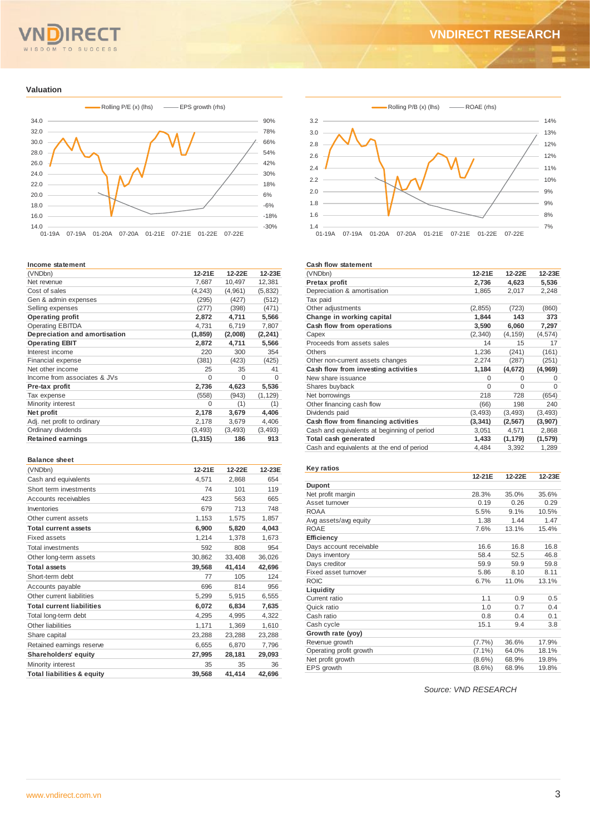# WISDOM TO SUCCESS

### **VNDIRECT RESEARCH**

#### **Valuation**



#### **Income statement**

| (VNDbn)                       | 12-21E   | 12-22E   | 12-23E   |
|-------------------------------|----------|----------|----------|
| Net revenue                   | 7,687    | 10.497   | 12.381   |
| Cost of sales                 | (4, 243) | (4, 961) | (5, 832) |
| Gen & admin expenses          | (295)    | (427)    | (512)    |
| Selling expenses              | (277)    | (398)    | (471)    |
| <b>Operating profit</b>       | 2,872    | 4,711    | 5,566    |
| <b>Operating EBITDA</b>       | 4,731    | 6,719    | 7,807    |
| Depreciation and amortisation | (1, 859) | (2,008)  | (2, 241) |
| <b>Operating EBIT</b>         | 2,872    | 4,711    | 5,566    |
| Interest income               | 220      | 300      | 354      |
| <b>Financial expense</b>      | (381)    | (423)    | (425)    |
| Net other income              | 25       | 35       | 41       |
| Income from associates & JVs  | 0        | $\Omega$ | $\Omega$ |
| Pre-tax profit                | 2,736    | 4,623    | 5,536    |
| Tax expense                   | (558)    | (943)    | (1, 129) |
| Minority interest             | U        | (1)      | (1)      |
| Net profit                    | 2,178    | 3,679    | 4,406    |
| Adj. net profit to ordinary   | 2,178    | 3,679    | 4,406    |
| Ordinary dividends            | (3, 493) | (3,493)  | (3, 493) |
| <b>Retained earnings</b>      | (1, 315) | 186      | 913      |
|                               |          |          |          |

#### **Balance sheet**

| (VNDbn)                               | 12-21E | 12-22E | 12-23E |
|---------------------------------------|--------|--------|--------|
| Cash and equivalents                  | 4,571  | 2,868  | 654    |
| Short term investments                | 74     | 101    | 119    |
| Accounts receivables                  | 423    | 563    | 665    |
| Inventories                           | 679    | 713    | 748    |
| Other current assets                  | 1,153  | 1,575  | 1,857  |
| <b>Total current assets</b>           | 6,900  | 5,820  | 4,043  |
| <b>Fixed assets</b>                   | 1,214  | 1,378  | 1,673  |
| <b>Total investments</b>              | 592    | 808    | 954    |
| Other long-term assets                | 30,862 | 33,408 | 36,026 |
| <b>Total assets</b>                   | 39,568 | 41,414 | 42,696 |
| Short-term debt                       | 77     | 105    | 124    |
| Accounts payable                      | 696    | 814    | 956    |
| Other current liabilities             | 5,299  | 5,915  | 6,555  |
| <b>Total current liabilities</b>      | 6,072  | 6,834  | 7,635  |
| Total long-term debt                  | 4,295  | 4,995  | 4,322  |
| Other liabilities                     | 1,171  | 1,369  | 1.610  |
| Share capital                         | 23,288 | 23,288 | 23,288 |
| Retained earnings reserve             | 6,655  | 6,870  | 7,796  |
| Shareholders' equity                  | 27,995 | 28,181 | 29,093 |
| Minority interest                     | 35     | 35     | 36     |
| <b>Total liabilities &amp; equity</b> | 39,568 | 41,414 | 42,696 |



#### **Cash flow statement**

| GASH HUW SLAICHICHL                         |          |          |              |
|---------------------------------------------|----------|----------|--------------|
| (VNDbn)                                     | 12-21E   | 12-22E   | 12-23E       |
| Pretax profit                               | 2,736    | 4,623    | 5,536        |
| Depreciation & amortisation                 | 1,865    | 2,017    | 2,248        |
| Tax paid                                    |          |          |              |
| Other adjustments                           | (2, 855) | (723)    | (860)        |
| Change in working capital                   | 1,844    | 143      | 373          |
| Cash flow from operations                   | 3,590    | 6,060    | 7,297        |
| Capex                                       | (2, 340) | (4, 159) | (4,574)      |
| Proceeds from assets sales                  | 14       | 15       | 17           |
| <b>Others</b>                               | 1,236    | (241)    | (161)        |
| Other non-current assets changes            | 2,274    | (287)    | (251)        |
| Cash flow from investing activities         | 1,184    | (4,672)  | (4,969)      |
| New share issuance                          | O        | O        | O            |
| Shares buyback                              | $\Omega$ | O        | <sup>0</sup> |
| Net borrowings                              | 218      | 728      | (654)        |
| Other financing cash flow                   | (66)     | 198      | 240          |
| Dividends paid                              | (3, 493) | (3, 493) | (3, 493)     |
| Cash flow from financing activities         | (3, 341) | (2, 567) | (3,907)      |
| Cash and equivalents at beginning of period | 3,051    | 4,571    | 2,868        |
| Total cash generated                        | 1,433    | (1, 179) | (1,579)      |
| Cash and equivalents at the end of period   | 4,484    | 3,392    | 1,289        |

| Key ratios              |           |        |        |
|-------------------------|-----------|--------|--------|
|                         | 12-21F    | 12-22F | 12-23E |
| Dupont                  |           |        |        |
| Net profit margin       | 28.3%     | 35.0%  | 35.6%  |
| Asset turnover          | 0.19      | 0.26   | 0.29   |
| <b>ROAA</b>             | 5.5%      | 9.1%   | 10.5%  |
| Avg assets/avg equity   | 1.38      | 1.44   | 1.47   |
| <b>ROAE</b>             | 7.6%      | 13.1%  | 15.4%  |
| Efficiency              |           |        |        |
| Days account receivable | 16.6      | 16.8   | 16.8   |
| Days inventory          | 58.4      | 52.5   | 46.8   |
| Days creditor           | 59.9      | 59.9   | 59.8   |
| Fixed asset turnover    | 5.86      | 8.10   | 8.11   |
| <b>ROIC</b>             | 6.7%      | 11.0%  | 13.1%  |
| Liquidity               |           |        |        |
| Current ratio           | 1.1       | 0.9    | 0.5    |
| Quick ratio             | 1.0       | 0.7    | 0.4    |
| Cash ratio              | 0.8       | 0.4    | 0.1    |
| Cash cycle              | 15.1      | 9.4    | 3.8    |
| Growth rate (yoy)       |           |        |        |
| Revenue growth          | (7.7%)    | 36.6%  | 17.9%  |
| Operating profit growth | $(7.1\%)$ | 64.0%  | 18.1%  |
| Net profit growth       | $(8.6\%)$ | 68.9%  | 19.8%  |
| EPS growth              | $(8.6\%)$ | 68.9%  | 19.8%  |

*Source: VND RESEARCH*